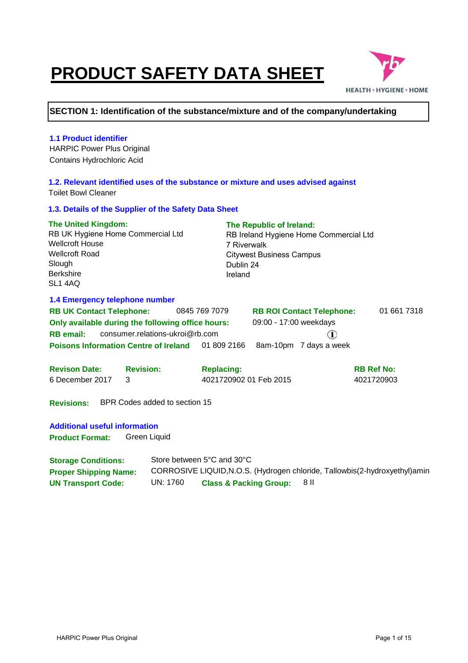# **PRODUCT SAFETY DATA SHEET**



#### **SECTION 1: Identification of the substance/mixture and of the company/undertaking**

#### **1.1 Product identifier** HARPIC Power Plus Original Contains Hydrochloric Acid **1.2. Relevant identified uses of the substance or mixture and uses advised against** Toilet Bowl Cleaner **1.3. Details of the Supplier of the Safety Data Sheet The United Kingdom: The Republic of Ireland:** RB UK Hygiene Home Commercial Ltd RB Ireland Hygiene Home Commercial Ltd Wellcroft House 7 Riverwalk Wellcroft Road Citywest Business Campus **Slough** Dublin 24 Berkshire Ireland SL1 4AQ **1.4 Emergency telephone number RB UK Contact Telephone:** 0845 769 7079 **RB ROI Contact Telephone:** 01 661 7318 **Only available during the following office hours:** 09:00 - 17:00 weekdays **RB email:** consumer.relations-ukroi@rb.com  $\mathbf{r}$ **Poisons Information Centre of Ireland** 01 809 2166 8am-10pm 7 days a week **Revison Date: Revision: RB Ref No: Replacing:** 4021720902 01 Feb 2015 4021720903 6 December 2017 3 **Revisions:** BPR Codes added to section 15

**Additional useful information Product Format:**  Green Liquid

| <b>Storage Conditions:</b>   |          | Store between 5°C and 30°C        |                                                                              |
|------------------------------|----------|-----------------------------------|------------------------------------------------------------------------------|
| <b>Proper Shipping Name:</b> |          |                                   | CORROSIVE LIQUID, N.O.S. (Hydrogen chloride, Tallowbis (2-hydroxyethyl) amin |
| <b>UN Transport Code:</b>    | UN: 1760 | <b>Class &amp; Packing Group:</b> | -8 II                                                                        |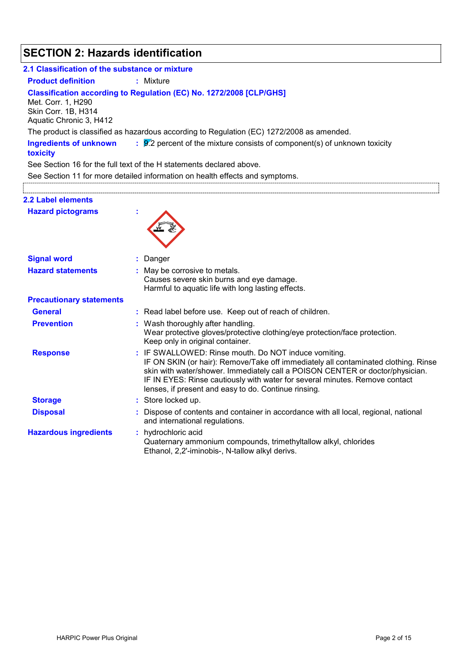# **SECTION 2: Hazards identification**

| 2.1 Classification of the substance or mixture                       |                                                                                                                                                                                                                                                                                                                                                                  |
|----------------------------------------------------------------------|------------------------------------------------------------------------------------------------------------------------------------------------------------------------------------------------------------------------------------------------------------------------------------------------------------------------------------------------------------------|
| <b>Product definition</b>                                            | : Mixture                                                                                                                                                                                                                                                                                                                                                        |
| Met. Corr. 1, H290<br>Skin Corr. 1B, H314<br>Aquatic Chronic 3, H412 | Classification according to Regulation (EC) No. 1272/2008 [CLP/GHS]                                                                                                                                                                                                                                                                                              |
|                                                                      | The product is classified as hazardous according to Regulation (EC) 1272/2008 as amended.                                                                                                                                                                                                                                                                        |
| <b>Ingredients of unknown</b><br>toxicity                            | $\frac{1}{2}$ $\frac{1}{2}$ percent of the mixture consists of component(s) of unknown toxicity                                                                                                                                                                                                                                                                  |
|                                                                      | See Section 16 for the full text of the H statements declared above.                                                                                                                                                                                                                                                                                             |
|                                                                      | See Section 11 for more detailed information on health effects and symptoms.                                                                                                                                                                                                                                                                                     |
|                                                                      |                                                                                                                                                                                                                                                                                                                                                                  |
| 2.2 Label elements                                                   |                                                                                                                                                                                                                                                                                                                                                                  |
| <b>Hazard pictograms</b>                                             |                                                                                                                                                                                                                                                                                                                                                                  |
| <b>Signal word</b>                                                   | Danger                                                                                                                                                                                                                                                                                                                                                           |
| <b>Hazard statements</b>                                             | : May be corrosive to metals.<br>Causes severe skin burns and eye damage.<br>Harmful to aquatic life with long lasting effects.                                                                                                                                                                                                                                  |
| <b>Precautionary statements</b>                                      |                                                                                                                                                                                                                                                                                                                                                                  |
| <b>General</b>                                                       | : Read label before use. Keep out of reach of children.                                                                                                                                                                                                                                                                                                          |
| <b>Prevention</b>                                                    | : Wash thoroughly after handling.<br>Wear protective gloves/protective clothing/eye protection/face protection.<br>Keep only in original container.                                                                                                                                                                                                              |
| <b>Response</b>                                                      | IF SWALLOWED: Rinse mouth. Do NOT induce vomiting.<br>IF ON SKIN (or hair): Remove/Take off immediately all contaminated clothing. Rinse<br>skin with water/shower. Immediately call a POISON CENTER or doctor/physician.<br>IF IN EYES: Rinse cautiously with water for several minutes. Remove contact<br>lenses, if present and easy to do. Continue rinsing. |
| <b>Storage</b>                                                       | : Store locked up.                                                                                                                                                                                                                                                                                                                                               |
| <b>Disposal</b>                                                      | Dispose of contents and container in accordance with all local, regional, national<br>and international regulations.                                                                                                                                                                                                                                             |
| <b>Hazardous ingredients</b>                                         | hydrochloric acid<br>Quaternary ammonium compounds, trimethyltallow alkyl, chlorides<br>Ethanol, 2,2'-iminobis-, N-tallow alkyl derivs.                                                                                                                                                                                                                          |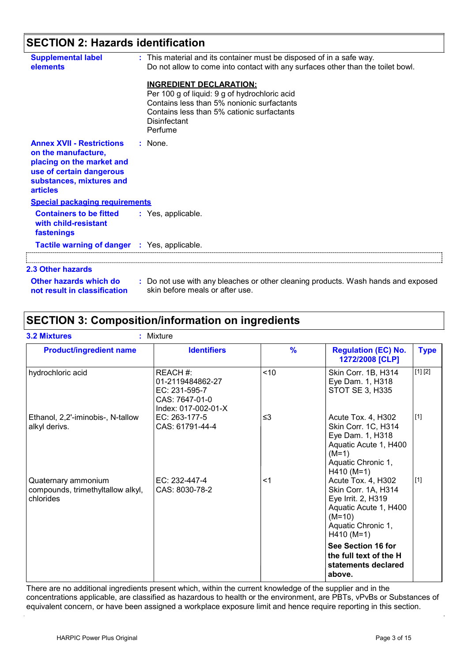## **SECTION 2: Hazards identification**

| <b>Supplemental label</b><br>elements                                                                                                                           | : This material and its container must be disposed of in a safe way.<br>Do not allow to come into contact with any surfaces other than the toilet bowl.<br><b>INGREDIENT DECLARATION:</b><br>Per 100 g of liquid: 9 g of hydrochloric acid<br>Contains less than 5% nonionic surfactants<br>Contains less than 5% cationic surfactants<br>Disinfectant<br>Perfume |
|-----------------------------------------------------------------------------------------------------------------------------------------------------------------|-------------------------------------------------------------------------------------------------------------------------------------------------------------------------------------------------------------------------------------------------------------------------------------------------------------------------------------------------------------------|
| <b>Annex XVII - Restrictions</b><br>on the manufacture,<br>placing on the market and<br>use of certain dangerous<br>substances, mixtures and<br><b>articles</b> | $:$ None.                                                                                                                                                                                                                                                                                                                                                         |
| <b>Special packaging requirements</b>                                                                                                                           |                                                                                                                                                                                                                                                                                                                                                                   |
| <b>Containers to be fitted</b><br>with child-resistant<br>fastenings                                                                                            | : Yes, applicable.                                                                                                                                                                                                                                                                                                                                                |
| <b>Tactile warning of danger : Yes, applicable.</b>                                                                                                             |                                                                                                                                                                                                                                                                                                                                                                   |
| 2.3 Other hazards                                                                                                                                               |                                                                                                                                                                                                                                                                                                                                                                   |
| Other hazards which do<br>not result in classification                                                                                                          | : Do not use with any bleaches or other cleaning products. Wash hands and exposed<br>skin before meals or after use.                                                                                                                                                                                                                                              |

### **SECTION 3: Composition/information on ingredients**

| <b>Product/ingredient name</b>                                        | <b>Identifiers</b>                                                                    | $\frac{9}{6}$ | <b>Regulation (EC) No.</b><br>1272/2008 [CLP]                                                                                              | <b>Type</b> |
|-----------------------------------------------------------------------|---------------------------------------------------------------------------------------|---------------|--------------------------------------------------------------------------------------------------------------------------------------------|-------------|
| hydrochloric acid                                                     | REACH#:<br>01-2119484862-27<br>EC: 231-595-7<br>CAS: 7647-01-0<br>Index: 017-002-01-X | < 10          | Skin Corr. 1B, H314<br>Eye Dam. 1, H318<br>STOT SE 3, H335                                                                                 | [1] [2]     |
| Ethanol, 2,2'-iminobis-, N-tallow<br>alkyl derivs.                    | EC: 263-177-5<br>CAS: 61791-44-4                                                      | ≤3            | Acute Tox. 4, H302<br>Skin Corr. 1C, H314<br>Eye Dam. 1, H318<br>Aquatic Acute 1, H400<br>$(M=1)$<br>Aquatic Chronic 1,<br>$H410 (M=1)$    | $[1]$       |
| Quaternary ammonium<br>compounds, trimethyltallow alkyl,<br>chlorides | EC: 232-447-4<br>CAS: 8030-78-2                                                       | $<$ 1         | Acute Tox. 4, H302<br>Skin Corr. 1A, H314<br>Eye Irrit. 2, H319<br>Aquatic Acute 1, H400<br>$(M=10)$<br>Aquatic Chronic 1,<br>$H410 (M=1)$ | $[1]$       |
|                                                                       |                                                                                       |               | See Section 16 for<br>the full text of the H<br>statements declared<br>above.                                                              |             |

There are no additional ingredients present which, within the current knowledge of the supplier and in the concentrations applicable, are classified as hazardous to health or the environment, are PBTs, vPvBs or Substances of equivalent concern, or have been assigned a workplace exposure limit and hence require reporting in this section.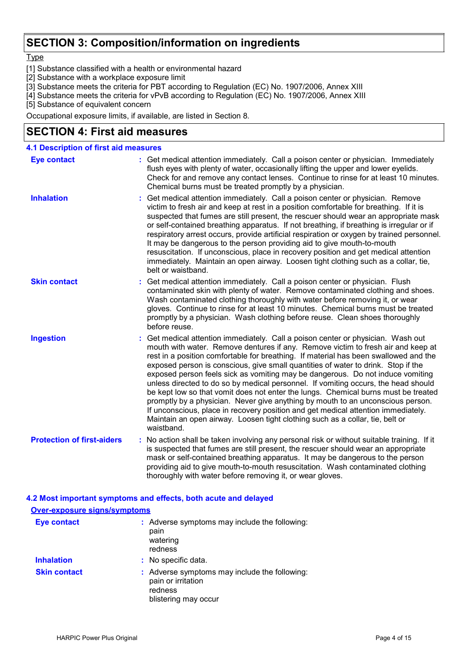### **SECTION 3: Composition/information on ingredients**

**Type** 

- [1] Substance classified with a health or environmental hazard
- [2] Substance with a workplace exposure limit
- [3] Substance meets the criteria for PBT according to Regulation (EC) No. 1907/2006, Annex XIII
- [4] Substance meets the criteria for vPvB according to Regulation (EC) No. 1907/2006, Annex XIII
- [5] Substance of equivalent concern

Occupational exposure limits, if available, are listed in Section 8.

### **SECTION 4: First aid measures**

| <b>4.1 Description of first aid measures</b> |                                                                                                                                                                                                                                                                                                                                                                                                                                                                                                                                                                                                                                                                                                                                                                                                                                                                                      |
|----------------------------------------------|--------------------------------------------------------------------------------------------------------------------------------------------------------------------------------------------------------------------------------------------------------------------------------------------------------------------------------------------------------------------------------------------------------------------------------------------------------------------------------------------------------------------------------------------------------------------------------------------------------------------------------------------------------------------------------------------------------------------------------------------------------------------------------------------------------------------------------------------------------------------------------------|
| <b>Eye contact</b>                           | : Get medical attention immediately. Call a poison center or physician. Immediately<br>flush eyes with plenty of water, occasionally lifting the upper and lower eyelids.<br>Check for and remove any contact lenses. Continue to rinse for at least 10 minutes.<br>Chemical burns must be treated promptly by a physician.                                                                                                                                                                                                                                                                                                                                                                                                                                                                                                                                                          |
| <b>Inhalation</b>                            | Get medical attention immediately. Call a poison center or physician. Remove<br>victim to fresh air and keep at rest in a position comfortable for breathing. If it is<br>suspected that fumes are still present, the rescuer should wear an appropriate mask<br>or self-contained breathing apparatus. If not breathing, if breathing is irregular or if<br>respiratory arrest occurs, provide artificial respiration or oxygen by trained personnel.<br>It may be dangerous to the person providing aid to give mouth-to-mouth<br>resuscitation. If unconscious, place in recovery position and get medical attention<br>immediately. Maintain an open airway. Loosen tight clothing such as a collar, tie,<br>belt or waistband.                                                                                                                                                  |
| <b>Skin contact</b>                          | Get medical attention immediately. Call a poison center or physician. Flush<br>contaminated skin with plenty of water. Remove contaminated clothing and shoes.<br>Wash contaminated clothing thoroughly with water before removing it, or wear<br>gloves. Continue to rinse for at least 10 minutes. Chemical burns must be treated<br>promptly by a physician. Wash clothing before reuse. Clean shoes thoroughly<br>before reuse.                                                                                                                                                                                                                                                                                                                                                                                                                                                  |
| <b>Ingestion</b>                             | Get medical attention immediately. Call a poison center or physician. Wash out<br>mouth with water. Remove dentures if any. Remove victim to fresh air and keep at<br>rest in a position comfortable for breathing. If material has been swallowed and the<br>exposed person is conscious, give small quantities of water to drink. Stop if the<br>exposed person feels sick as vomiting may be dangerous. Do not induce vomiting<br>unless directed to do so by medical personnel. If vomiting occurs, the head should<br>be kept low so that vomit does not enter the lungs. Chemical burns must be treated<br>promptly by a physician. Never give anything by mouth to an unconscious person.<br>If unconscious, place in recovery position and get medical attention immediately.<br>Maintain an open airway. Loosen tight clothing such as a collar, tie, belt or<br>waistband. |
| <b>Protection of first-aiders</b>            | : No action shall be taken involving any personal risk or without suitable training. If it<br>is suspected that fumes are still present, the rescuer should wear an appropriate<br>mask or self-contained breathing apparatus. It may be dangerous to the person<br>providing aid to give mouth-to-mouth resuscitation. Wash contaminated clothing<br>thoroughly with water before removing it, or wear gloves.                                                                                                                                                                                                                                                                                                                                                                                                                                                                      |
|                                              | 4.2 Most important symptoms and effects, both acute and delayed                                                                                                                                                                                                                                                                                                                                                                                                                                                                                                                                                                                                                                                                                                                                                                                                                      |
| Over-exposure signs/symptoms                 |                                                                                                                                                                                                                                                                                                                                                                                                                                                                                                                                                                                                                                                                                                                                                                                                                                                                                      |
| <b>Eye contact</b>                           | : Adverse symptoms may include the following:<br>pain<br>watering<br>redness                                                                                                                                                                                                                                                                                                                                                                                                                                                                                                                                                                                                                                                                                                                                                                                                         |
| <b>Inhalation</b>                            | : No specific data.                                                                                                                                                                                                                                                                                                                                                                                                                                                                                                                                                                                                                                                                                                                                                                                                                                                                  |
| <b>Skin contact</b>                          | : Adverse symptoms may include the following:<br>pain or irritation<br>redness                                                                                                                                                                                                                                                                                                                                                                                                                                                                                                                                                                                                                                                                                                                                                                                                       |

blistering may occur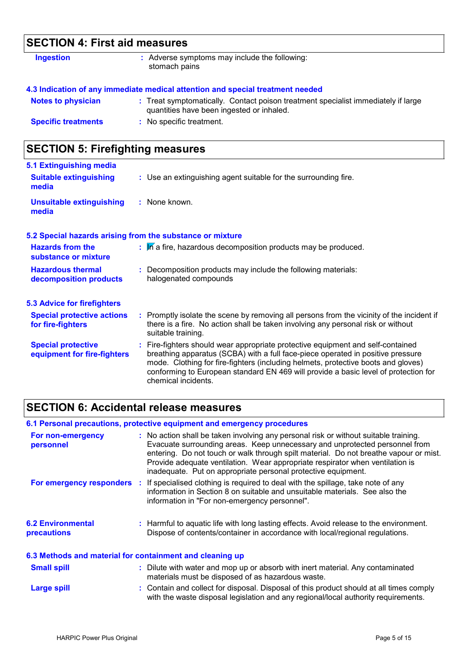| <b>SECTION 4: First aid measures</b> |                                                                                                                                |  |
|--------------------------------------|--------------------------------------------------------------------------------------------------------------------------------|--|
| <b>Ingestion</b>                     | : Adverse symptoms may include the following:<br>stomach pains                                                                 |  |
|                                      | 4.3 Indication of any immediate medical attention and special treatment needed                                                 |  |
| <b>Notes to physician</b>            | : Treat symptomatically. Contact poison treatment specialist immediately if large<br>quantities have been ingested or inhaled. |  |
| <b>Specific treatments</b>           | : No specific treatment.                                                                                                       |  |

# **SECTION 5: Firefighting measures**

| 5.1 Extinguishing media                                   |                                                                                                                                                                                                                                                                                                                                                                       |
|-----------------------------------------------------------|-----------------------------------------------------------------------------------------------------------------------------------------------------------------------------------------------------------------------------------------------------------------------------------------------------------------------------------------------------------------------|
| <b>Suitable extinguishing</b><br>media                    | : Use an extinguishing agent suitable for the surrounding fire.                                                                                                                                                                                                                                                                                                       |
| <b>Unsuitable extinguishing</b><br>media                  | : None known.                                                                                                                                                                                                                                                                                                                                                         |
| 5.2 Special hazards arising from the substance or mixture |                                                                                                                                                                                                                                                                                                                                                                       |
| <b>Hazards from the</b><br>substance or mixture           | $\mathbf{F}$ . In a fire, hazardous decomposition products may be produced.                                                                                                                                                                                                                                                                                           |
| <b>Hazardous thermal</b><br>decomposition products        | Decomposition products may include the following materials:<br>halogenated compounds                                                                                                                                                                                                                                                                                  |
| <b>5.3 Advice for firefighters</b>                        |                                                                                                                                                                                                                                                                                                                                                                       |
| <b>Special protective actions</b><br>for fire-fighters    | : Promptly isolate the scene by removing all persons from the vicinity of the incident if<br>there is a fire. No action shall be taken involving any personal risk or without<br>suitable training.                                                                                                                                                                   |
| <b>Special protective</b><br>equipment for fire-fighters  | : Fire-fighters should wear appropriate protective equipment and self-contained<br>breathing apparatus (SCBA) with a full face-piece operated in positive pressure<br>mode. Clothing for fire-fighters (including helmets, protective boots and gloves)<br>conforming to European standard EN 469 will provide a basic level of protection for<br>chemical incidents. |

# **SECTION 6: Accidental release measures**

|                                                          | 6.1 Personal precautions, protective equipment and emergency procedures                                                                                                                                                                                                                                                                                                                                        |
|----------------------------------------------------------|----------------------------------------------------------------------------------------------------------------------------------------------------------------------------------------------------------------------------------------------------------------------------------------------------------------------------------------------------------------------------------------------------------------|
| For non-emergency<br>personnel                           | : No action shall be taken involving any personal risk or without suitable training.<br>Evacuate surrounding areas. Keep unnecessary and unprotected personnel from<br>entering. Do not touch or walk through spilt material. Do not breathe vapour or mist.<br>Provide adequate ventilation. Wear appropriate respirator when ventilation is<br>inadequate. Put on appropriate personal protective equipment. |
|                                                          | For emergency responders : If specialised clothing is required to deal with the spillage, take note of any<br>information in Section 8 on suitable and unsuitable materials. See also the<br>information in "For non-emergency personnel".                                                                                                                                                                     |
| <b>6.2 Environmental</b><br>precautions                  | : Harmful to aquatic life with long lasting effects. Avoid release to the environment.<br>Dispose of contents/container in accordance with local/regional regulations.                                                                                                                                                                                                                                         |
| 6.3 Methods and material for containment and cleaning up |                                                                                                                                                                                                                                                                                                                                                                                                                |
| <b>Small spill</b>                                       | : Dilute with water and mop up or absorb with inert material. Any contaminated<br>materials must be disposed of as hazardous waste.                                                                                                                                                                                                                                                                            |
| <b>Large spill</b>                                       | : Contain and collect for disposal. Disposal of this product should at all times comply<br>with the waste disposal legislation and any regional/local authority requirements.                                                                                                                                                                                                                                  |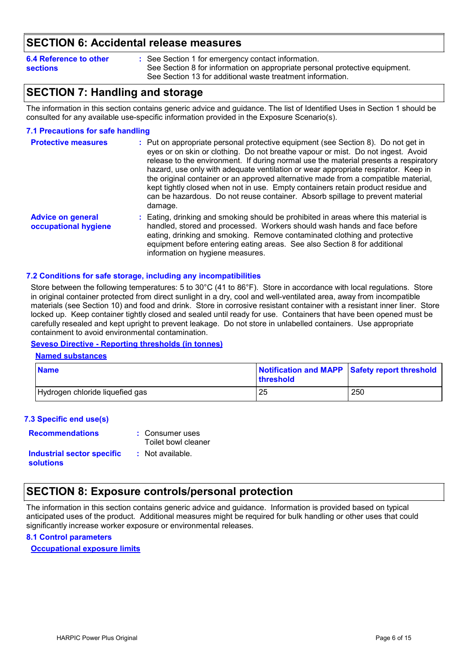### **SECTION 6: Accidental release measures**

| 6.4 Reference to other | : See Section 1 for emergency contact information.                          |  |
|------------------------|-----------------------------------------------------------------------------|--|
| <b>sections</b>        | See Section 8 for information on appropriate personal protective equipment. |  |
|                        | See Section 13 for additional waste treatment information.                  |  |

### **SECTION 7: Handling and storage**

The information in this section contains generic advice and guidance. The list of Identified Uses in Section 1 should be consulted for any available use-specific information provided in the Exposure Scenario(s).

#### **7.1 Precautions for safe handling**

| <b>Protective measures</b>                       | : Put on appropriate personal protective equipment (see Section 8). Do not get in<br>eyes or on skin or clothing. Do not breathe vapour or mist. Do not ingest. Avoid<br>release to the environment. If during normal use the material presents a respiratory<br>hazard, use only with adequate ventilation or wear appropriate respirator. Keep in<br>the original container or an approved alternative made from a compatible material,<br>kept tightly closed when not in use. Empty containers retain product residue and<br>can be hazardous. Do not reuse container. Absorb spillage to prevent material<br>damage. |
|--------------------------------------------------|---------------------------------------------------------------------------------------------------------------------------------------------------------------------------------------------------------------------------------------------------------------------------------------------------------------------------------------------------------------------------------------------------------------------------------------------------------------------------------------------------------------------------------------------------------------------------------------------------------------------------|
| <b>Advice on general</b><br>occupational hygiene | : Eating, drinking and smoking should be prohibited in areas where this material is<br>handled, stored and processed. Workers should wash hands and face before<br>eating, drinking and smoking. Remove contaminated clothing and protective<br>equipment before entering eating areas. See also Section 8 for additional<br>information on hygiene measures.                                                                                                                                                                                                                                                             |

#### **7.2 Conditions for safe storage, including any incompatibilities**

Store between the following temperatures: 5 to 30°C (41 to 86°F). Store in accordance with local regulations. Store in original container protected from direct sunlight in a dry, cool and well-ventilated area, away from incompatible materials (see Section 10) and food and drink. Store in corrosive resistant container with a resistant inner liner. Store locked up. Keep container tightly closed and sealed until ready for use. Containers that have been opened must be carefully resealed and kept upright to prevent leakage. Do not store in unlabelled containers. Use appropriate containment to avoid environmental contamination.

#### **Seveso Directive - Reporting thresholds (in tonnes)**

#### **Named substances**

| <b>Name</b>                     | Notification and MAPP Safety report threshold<br><b>threshold</b> |     |
|---------------------------------|-------------------------------------------------------------------|-----|
| Hydrogen chloride liquefied gas | 25                                                                | 250 |

#### **7.3 Specific end use(s)**

| <b>Recommendations</b>                  | : Consumer uses<br>Toilet bowl cleaner |
|-----------------------------------------|----------------------------------------|
| Industrial sector specific<br>solutions | : Not available.                       |

### **SECTION 8: Exposure controls/personal protection**

The information in this section contains generic advice and guidance. Information is provided based on typical anticipated uses of the product. Additional measures might be required for bulk handling or other uses that could significantly increase worker exposure or environmental releases.

#### **8.1 Control parameters**

**Occupational exposure limits**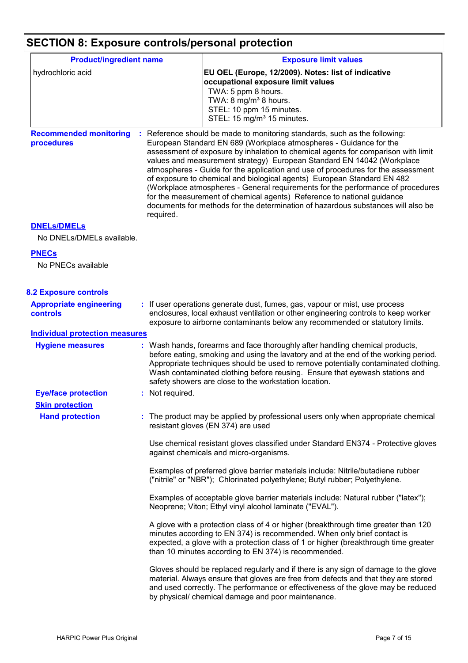# **SECTION 8: Exposure controls/personal protection**

| <b>Product/ingredient name</b>                    |                 | <b>Exposure limit values</b>                                                                                                                                                                                                                                                                                                                                                                                                                                                                                                                                                                                                                                                                                                    |
|---------------------------------------------------|-----------------|---------------------------------------------------------------------------------------------------------------------------------------------------------------------------------------------------------------------------------------------------------------------------------------------------------------------------------------------------------------------------------------------------------------------------------------------------------------------------------------------------------------------------------------------------------------------------------------------------------------------------------------------------------------------------------------------------------------------------------|
| hydrochloric acid                                 |                 | EU OEL (Europe, 12/2009). Notes: list of indicative<br>occupational exposure limit values<br>TWA: 5 ppm 8 hours.<br>TWA: 8 mg/m <sup>3</sup> 8 hours.<br>STEL: 10 ppm 15 minutes.<br>STEL: 15 mg/m <sup>3</sup> 15 minutes.                                                                                                                                                                                                                                                                                                                                                                                                                                                                                                     |
| <b>Recommended monitoring</b><br>procedures       | required.       | : Reference should be made to monitoring standards, such as the following:<br>European Standard EN 689 (Workplace atmospheres - Guidance for the<br>assessment of exposure by inhalation to chemical agents for comparison with limit<br>values and measurement strategy) European Standard EN 14042 (Workplace<br>atmospheres - Guide for the application and use of procedures for the assessment<br>of exposure to chemical and biological agents) European Standard EN 482<br>(Workplace atmospheres - General requirements for the performance of procedures<br>for the measurement of chemical agents) Reference to national guidance<br>documents for methods for the determination of hazardous substances will also be |
| <b>DNELS/DMELS</b>                                |                 |                                                                                                                                                                                                                                                                                                                                                                                                                                                                                                                                                                                                                                                                                                                                 |
| No DNELs/DMELs available.                         |                 |                                                                                                                                                                                                                                                                                                                                                                                                                                                                                                                                                                                                                                                                                                                                 |
| <b>PNECs</b>                                      |                 |                                                                                                                                                                                                                                                                                                                                                                                                                                                                                                                                                                                                                                                                                                                                 |
| No PNECs available                                |                 |                                                                                                                                                                                                                                                                                                                                                                                                                                                                                                                                                                                                                                                                                                                                 |
| <b>8.2 Exposure controls</b>                      |                 |                                                                                                                                                                                                                                                                                                                                                                                                                                                                                                                                                                                                                                                                                                                                 |
| <b>Appropriate engineering</b><br><b>controls</b> |                 | : If user operations generate dust, fumes, gas, vapour or mist, use process<br>enclosures, local exhaust ventilation or other engineering controls to keep worker<br>exposure to airborne contaminants below any recommended or statutory limits.                                                                                                                                                                                                                                                                                                                                                                                                                                                                               |
| <b>Individual protection measures</b>             |                 |                                                                                                                                                                                                                                                                                                                                                                                                                                                                                                                                                                                                                                                                                                                                 |
| <b>Hygiene measures</b>                           |                 | : Wash hands, forearms and face thoroughly after handling chemical products,<br>before eating, smoking and using the lavatory and at the end of the working period.<br>Appropriate techniques should be used to remove potentially contaminated clothing.<br>Wash contaminated clothing before reusing. Ensure that eyewash stations and<br>safety showers are close to the workstation location.                                                                                                                                                                                                                                                                                                                               |
| <b>Eye/face protection</b>                        | : Not required. |                                                                                                                                                                                                                                                                                                                                                                                                                                                                                                                                                                                                                                                                                                                                 |
| <b>Skin protection</b>                            |                 |                                                                                                                                                                                                                                                                                                                                                                                                                                                                                                                                                                                                                                                                                                                                 |
| <b>Hand protection</b>                            |                 | : The product may be applied by professional users only when appropriate chemical<br>resistant gloves (EN 374) are used                                                                                                                                                                                                                                                                                                                                                                                                                                                                                                                                                                                                         |
|                                                   |                 | Use chemical resistant gloves classified under Standard EN374 - Protective gloves<br>against chemicals and micro-organisms.                                                                                                                                                                                                                                                                                                                                                                                                                                                                                                                                                                                                     |
|                                                   |                 | Examples of preferred glove barrier materials include: Nitrile/butadiene rubber<br>("nitrile" or "NBR"); Chlorinated polyethylene; Butyl rubber; Polyethylene.                                                                                                                                                                                                                                                                                                                                                                                                                                                                                                                                                                  |
|                                                   |                 | Examples of acceptable glove barrier materials include: Natural rubber ("latex");<br>Neoprene; Viton; Ethyl vinyl alcohol laminate ("EVAL").                                                                                                                                                                                                                                                                                                                                                                                                                                                                                                                                                                                    |
|                                                   |                 | A glove with a protection class of 4 or higher (breakthrough time greater than 120<br>minutes according to EN 374) is recommended. When only brief contact is<br>expected, a glove with a protection class of 1 or higher (breakthrough time greater<br>than 10 minutes according to EN 374) is recommended.                                                                                                                                                                                                                                                                                                                                                                                                                    |
|                                                   |                 | Gloves should be replaced regularly and if there is any sign of damage to the glove<br>material. Always ensure that gloves are free from defects and that they are stored<br>and used correctly. The performance or effectiveness of the glove may be reduced<br>by physical/ chemical damage and poor maintenance.                                                                                                                                                                                                                                                                                                                                                                                                             |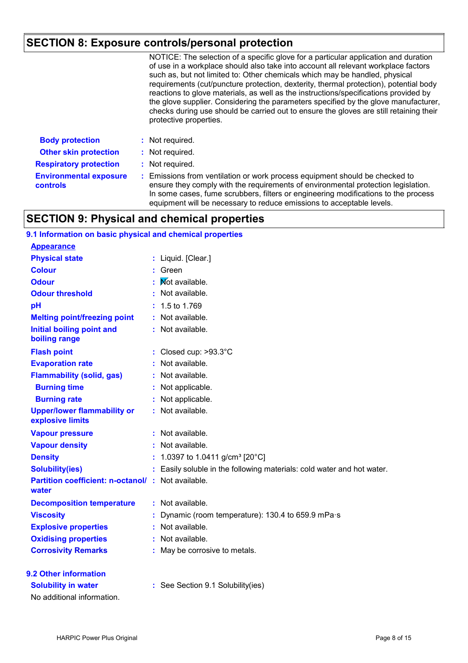## **SECTION 8: Exposure controls/personal protection**

|                                           | NOTICE: The selection of a specific glove for a particular application and duration<br>of use in a workplace should also take into account all relevant workplace factors<br>such as, but not limited to: Other chemicals which may be handled, physical<br>requirements (cut/puncture protection, dexterity, thermal protection), potential body<br>reactions to glove materials, as well as the instructions/specifications provided by<br>the glove supplier. Considering the parameters specified by the glove manufacturer,<br>checks during use should be carried out to ensure the gloves are still retaining their<br>protective properties. |
|-------------------------------------------|------------------------------------------------------------------------------------------------------------------------------------------------------------------------------------------------------------------------------------------------------------------------------------------------------------------------------------------------------------------------------------------------------------------------------------------------------------------------------------------------------------------------------------------------------------------------------------------------------------------------------------------------------|
| <b>Body protection</b>                    | : Not required.                                                                                                                                                                                                                                                                                                                                                                                                                                                                                                                                                                                                                                      |
| <b>Other skin protection</b>              | : Not required.                                                                                                                                                                                                                                                                                                                                                                                                                                                                                                                                                                                                                                      |
| <b>Respiratory protection</b>             | : Not required.                                                                                                                                                                                                                                                                                                                                                                                                                                                                                                                                                                                                                                      |
| <b>Environmental exposure</b><br>controls | : Emissions from ventilation or work process equipment should be checked to<br>ensure they comply with the requirements of environmental protection legislation.<br>In some cases, fume scrubbers, filters or engineering modifications to the process<br>equipment will be necessary to reduce emissions to acceptable levels.                                                                                                                                                                                                                                                                                                                      |

### **SECTION 9: Physical and chemical properties**

| 9.1 Information on basic physical and chemical properties          |    |                                                                      |
|--------------------------------------------------------------------|----|----------------------------------------------------------------------|
| <b>Appearance</b>                                                  |    |                                                                      |
| <b>Physical state</b>                                              |    | : Liquid. [Clear.]                                                   |
| <b>Colour</b>                                                      | t. | Green                                                                |
| <b>Odour</b>                                                       |    | Not available.                                                       |
| <b>Odour threshold</b>                                             |    | Not available.                                                       |
| pH                                                                 |    | 1.5 to 1.769                                                         |
| <b>Melting point/freezing point</b>                                |    | Not available.                                                       |
| <b>Initial boiling point and</b><br>boiling range                  |    | Not available.                                                       |
| <b>Flash point</b>                                                 |    | : Closed cup: $>93.3^{\circ}$ C                                      |
| <b>Evaporation rate</b>                                            |    | Not available.                                                       |
| <b>Flammability (solid, gas)</b>                                   |    | Not available.                                                       |
| <b>Burning time</b>                                                |    | Not applicable.                                                      |
| <b>Burning rate</b>                                                |    | Not applicable.                                                      |
| <b>Upper/lower flammability or</b><br>explosive limits             |    | Not available.                                                       |
| <b>Vapour pressure</b>                                             |    | : Not available.                                                     |
| <b>Vapour density</b>                                              |    | Not available.                                                       |
| <b>Density</b>                                                     |    | 1.0397 to 1.0411 g/cm <sup>3</sup> [20°C]                            |
| <b>Solubility(ies)</b>                                             |    | Easily soluble in the following materials: cold water and hot water. |
| <b>Partition coefficient: n-octanol/ : Not available.</b><br>water |    |                                                                      |
| <b>Decomposition temperature</b>                                   |    | : Not available.                                                     |
| <b>Viscosity</b>                                                   |    | Dynamic (room temperature): 130.4 to 659.9 mPa·s                     |
| <b>Explosive properties</b>                                        |    | Not available.                                                       |
| <b>Oxidising properties</b>                                        |    | Not available.                                                       |
| <b>Corrosivity Remarks</b>                                         |    | May be corrosive to metals.                                          |
| 9.2 Other information                                              |    |                                                                      |
| <b>Solubility in water</b>                                         |    | : See Section 9.1 Solubility(ies)                                    |
| No additional information.                                         |    |                                                                      |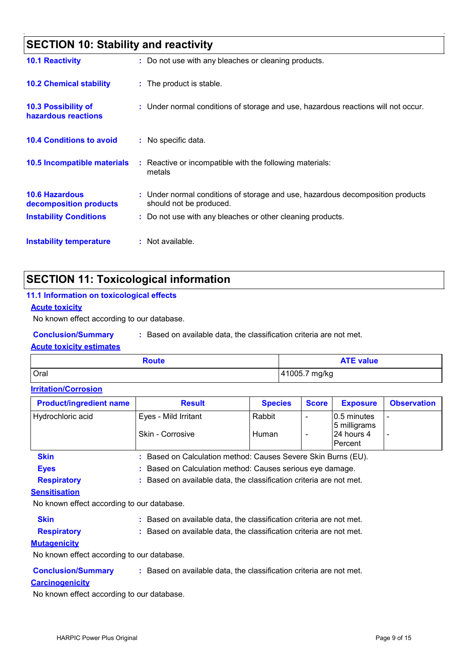| <b>SECTION 10: Stability and reactivity</b>     |                                                                                                           |
|-------------------------------------------------|-----------------------------------------------------------------------------------------------------------|
| <b>10.1 Reactivity</b>                          | : Do not use with any bleaches or cleaning products.                                                      |
| <b>10.2 Chemical stability</b>                  | : The product is stable.                                                                                  |
| 10.3 Possibility of<br>hazardous reactions      | : Under normal conditions of storage and use, hazardous reactions will not occur.                         |
| <b>10.4 Conditions to avoid</b>                 | : No specific data.                                                                                       |
| <b>10.5 Incompatible materials</b>              | : Reactive or incompatible with the following materials:<br>metals                                        |
| <b>10.6 Hazardous</b><br>decomposition products | : Under normal conditions of storage and use, hazardous decomposition products<br>should not be produced. |
| <b>Instability Conditions</b>                   | : Do not use with any bleaches or other cleaning products.                                                |
| <b>Instability temperature</b>                  | : Not available.                                                                                          |

### **SECTION 11: Toxicological information**

#### **11.1 Information on toxicological effects**

#### **Acute toxicity**

No known effect according to our database.

**Conclusion/Summary :** Based on available data, the classification criteria are not met.

#### **Acute toxicity estimates**

| Route | <b>ATE value</b> |
|-------|------------------|
| Oral  | 41005.7 mg/kg    |

#### **Irritation/Corrosion**

| <b>Product/ingredient name</b> | <b>Result</b>                                               | <b>Species</b> | <b>Score</b> | <b>Exposure</b>              | <b>Observation</b> |
|--------------------------------|-------------------------------------------------------------|----------------|--------------|------------------------------|--------------------|
| Hydrochloric acid              | Eyes - Mild Irritant                                        | Rabbit         |              | 0.5 minutes<br>5 milligrams  |                    |
|                                | Skin - Corrosive                                            | Human          |              | 24 hours 4<br><b>Percent</b> |                    |
| <b>Skin</b>                    | Based on Calculation method: Causes Severe Skin Burns (EU). |                |              |                              |                    |
| <b>Eyes</b>                    | Based on Calculation method: Causes serious eye damage.     |                |              |                              |                    |

**Respiratory :** Based on available data, the classification criteria are not met.

#### **Sensitisation**

No known effect according to our database.

- **Skin Example 2018 :** Based on available data, the classification criteria are not met.
- 

**Respiratory :** Based on available data, the classification criteria are not met.

#### **Mutagenicity**

No known effect according to our database.

**Conclusion/Summary :** Based on available data, the classification criteria are not met.

#### **Carcinogenicity**

No known effect according to our database.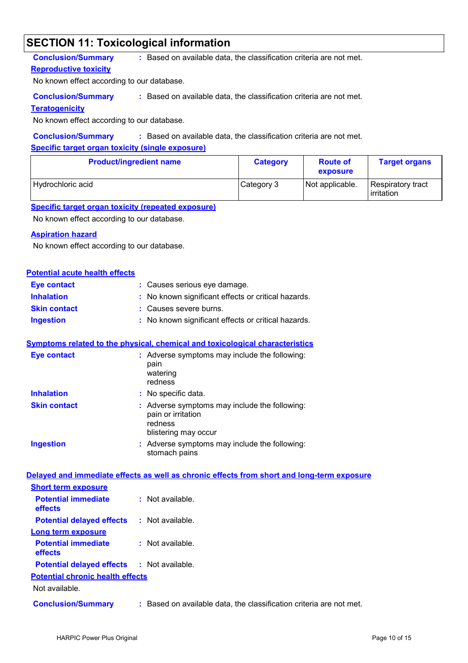### **SECTION 11: Toxicological information**

#### **Conclusion/Summary :** Based on available data, the classification criteria are not met.

#### **Reproductive toxicity**

No known effect according to our database.

**Conclusion/Summary :** Based on available data, the classification criteria are not met.

#### **Teratogenicity**

No known effect according to our database.

#### **Conclusion/Summary :** Based on available data, the classification criteria are not met.

#### **Specific target organ toxicity (single exposure)**

| <b>Product/ingredient name</b> | <b>Category</b> | <b>Route of</b><br>exposure | <b>Target organs</b>            |
|--------------------------------|-----------------|-----------------------------|---------------------------------|
| Hydrochloric acid              | Category 3      | Not applicable.             | Respiratory tract<br>irritation |

#### **Specific target organ toxicity (repeated exposure)**

No known effect according to our database.

#### **Aspiration hazard**

No known effect according to our database.

#### **Potential acute health effects**

| Eye contact         | : Causes serious eye damage.                        |
|---------------------|-----------------------------------------------------|
| <b>Inhalation</b>   | : No known significant effects or critical hazards. |
| <b>Skin contact</b> | : Causes severe burns.                              |
| <b>Ingestion</b>    | : No known significant effects or critical hazards. |

#### **Symptoms related to the physical, chemical and toxicological characteristics**

| <b>Eye contact</b>  | : Adverse symptoms may include the following:<br>pain<br>watering<br>redness                           |
|---------------------|--------------------------------------------------------------------------------------------------------|
| <b>Inhalation</b>   | : No specific data.                                                                                    |
| <b>Skin contact</b> | : Adverse symptoms may include the following:<br>pain or irritation<br>redness<br>blistering may occur |
| <b>Ingestion</b>    | : Adverse symptoms may include the following:<br>stomach pains                                         |

#### **Delayed and immediate effects as well as chronic effects from short and long-term exposure**

| <b>Short term exposure</b>                        |                                                                     |
|---------------------------------------------------|---------------------------------------------------------------------|
| <b>Potential immediate</b><br><b>effects</b>      | $:$ Not available.                                                  |
| <b>Potential delayed effects</b>                  | $:$ Not available.                                                  |
| Long term exposure                                |                                                                     |
| <b>Potential immediate</b><br><b>effects</b>      | : Not available.                                                    |
| <b>Potential delayed effects : Not available.</b> |                                                                     |
| <b>Potential chronic health effects</b>           |                                                                     |
| Not available.                                    |                                                                     |
| <b>Conclusion/Summary</b>                         | : Based on available data, the classification criteria are not met. |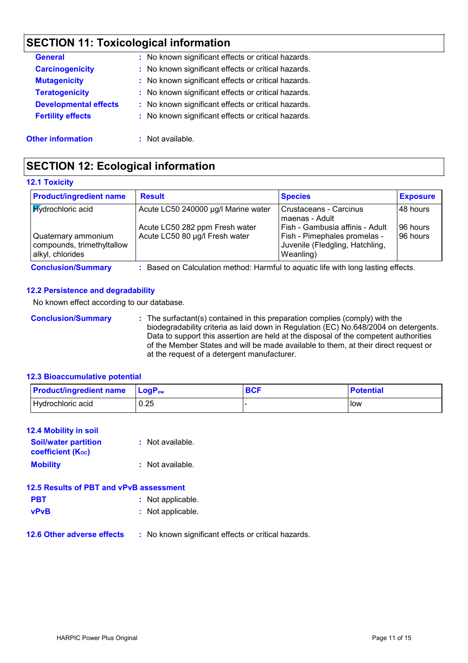# **SECTION 11: Toxicological information**

| <b>General</b>               | : No known significant effects or critical hazards. |
|------------------------------|-----------------------------------------------------|
| <b>Carcinogenicity</b>       | : No known significant effects or critical hazards. |
| <b>Mutagenicity</b>          | : No known significant effects or critical hazards. |
| <b>Teratogenicity</b>        | : No known significant effects or critical hazards. |
| <b>Developmental effects</b> | : No known significant effects or critical hazards. |
| <b>Fertility effects</b>     | : No known significant effects or critical hazards. |
| <b>Other information</b>     | : Not available.                                    |

### **SECTION 12: Ecological information**

#### **12.1 Toxicity**

| <b>Product/ingredient name</b>                                        | <b>Result</b>                                                    | <b>Species</b>                                                                                                  | <b>Exposure</b>        |
|-----------------------------------------------------------------------|------------------------------------------------------------------|-----------------------------------------------------------------------------------------------------------------|------------------------|
| <b>Kydrochloric</b> acid                                              | Acute LC50 240000 µg/l Marine water                              | Crustaceans - Carcinus<br>maenas - Adult                                                                        | I48 hours              |
| Quaternary ammonium<br>compounds, trimethyltallow<br>alkyl, chlorides | Acute LC50 282 ppm Fresh water<br>Acute LC50 80 µg/l Fresh water | Fish - Gambusia affinis - Adult<br>Fish - Pimephales promelas -<br>Juvenile (Fledgling, Hatchling,<br>Weanling) | 196 hours<br>196 hours |

**Conclusion/Summary :** Based on Calculation method: Harmful to aquatic life with long lasting effects.

#### **12.2 Persistence and degradability**

No known effect according to our database.

**Conclusion/Summary :** The surfactant(s) contained in this preparation complies (comply) with the biodegradability criteria as laid down in Regulation (EC) No.648/2004 on detergents. Data to support this assertion are held at the disposal of the competent authorities of the Member States and will be made available to them, at their direct request or at the request of a detergent manufacturer.

#### **12.3 Bioaccumulative potential**

| <b>Product/ingredient name</b> | <b>LogP</b> <sub>ow</sub> | <b>BCF</b> | <b>Potential</b> |
|--------------------------------|---------------------------|------------|------------------|
| Hydrochloric acid              | 0.25                      |            | low              |

#### **12.4 Mobility in soil**

| <b>Soil/water partition</b><br>coefficient $(K_{oc})$ | : Not available.   |
|-------------------------------------------------------|--------------------|
| <b>Mobility</b>                                       | $:$ Not available. |

| 12.5 Results of PBT and vPvB assessment |                   |  |
|-----------------------------------------|-------------------|--|
| <b>PBT</b>                              | : Not applicable. |  |
| <b>vPvB</b>                             | : Not applicable. |  |

#### **12.6 Other adverse effects** : No known significant effects or critical hazards.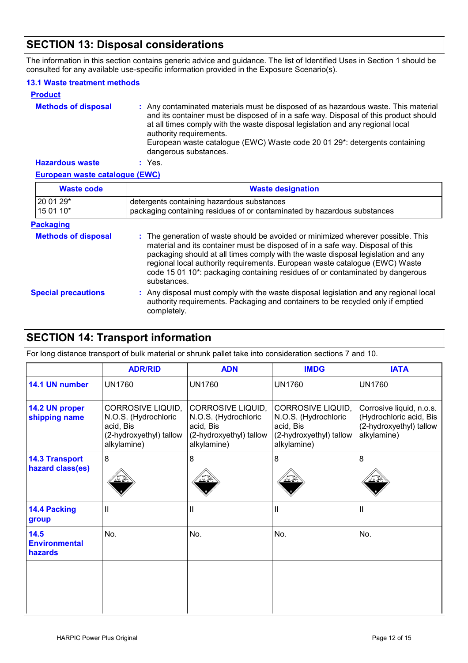### **SECTION 13: Disposal considerations**

The information in this section contains generic advice and guidance. The list of Identified Uses in Section 1 should be consulted for any available use-specific information provided in the Exposure Scenario(s).

#### **13.1 Waste treatment methods**

| <b>Product</b>             |                                                                                                                                                                                                                                                                                                                                                                                                |
|----------------------------|------------------------------------------------------------------------------------------------------------------------------------------------------------------------------------------------------------------------------------------------------------------------------------------------------------------------------------------------------------------------------------------------|
| <b>Methods of disposal</b> | : Any contaminated materials must be disposed of as hazardous waste. This material<br>and its container must be disposed of in a safe way. Disposal of this product should<br>at all times comply with the waste disposal legislation and any regional local<br>authority requirements.<br>European waste catalogue (EWC) Waste code 20 01 29*: detergents containing<br>dangerous substances. |
| <b>Hazardous waste</b>     | Yes.                                                                                                                                                                                                                                                                                                                                                                                           |

#### **European waste catalogue (EWC)**

| <b>Waste code</b>          | <b>Waste designation</b>                                                                                                                                                                                                                                                                                                                                                                                                              |  |
|----------------------------|---------------------------------------------------------------------------------------------------------------------------------------------------------------------------------------------------------------------------------------------------------------------------------------------------------------------------------------------------------------------------------------------------------------------------------------|--|
| 20 01 29*<br>15 01 10*     | detergents containing hazardous substances<br>packaging containing residues of or contaminated by hazardous substances                                                                                                                                                                                                                                                                                                                |  |
| <b>Packaging</b>           |                                                                                                                                                                                                                                                                                                                                                                                                                                       |  |
| <b>Methods of disposal</b> | : The generation of waste should be avoided or minimized wherever possible. This<br>material and its container must be disposed of in a safe way. Disposal of this<br>packaging should at all times comply with the waste disposal legislation and any<br>regional local authority requirements. European waste catalogue (EWC) Waste<br>code 15 01 10*: packaging containing residues of or contaminated by dangerous<br>substances. |  |
| <b>Special precautions</b> | : Any disposal must comply with the waste disposal legislation and any regional local<br>authority requirements. Packaging and containers to be recycled only if emptied<br>completely.                                                                                                                                                                                                                                               |  |

### **SECTION 14: Transport information**

For long distance transport of bulk material or shrunk pallet take into consideration sections 7 and 10.

|                                           | <b>ADR/RID</b>                                                                                   | <b>ADN</b>                                                                                       | <b>IMDG</b>                                                                                      | <b>IATA</b>                                                                                   |
|-------------------------------------------|--------------------------------------------------------------------------------------------------|--------------------------------------------------------------------------------------------------|--------------------------------------------------------------------------------------------------|-----------------------------------------------------------------------------------------------|
| 14.1 UN number                            | <b>UN1760</b>                                                                                    | <b>UN1760</b>                                                                                    | <b>UN1760</b>                                                                                    | <b>UN1760</b>                                                                                 |
| 14.2 UN proper<br>shipping name           | CORROSIVE LIQUID,<br>N.O.S. (Hydrochloric<br>acid, Bis<br>(2-hydroxyethyl) tallow<br>alkylamine) | CORROSIVE LIQUID,<br>N.O.S. (Hydrochloric<br>acid, Bis<br>(2-hydroxyethyl) tallow<br>alkylamine) | CORROSIVE LIQUID,<br>N.O.S. (Hydrochloric<br>acid, Bis<br>(2-hydroxyethyl) tallow<br>alkylamine) | Corrosive liquid, n.o.s.<br>(Hydrochloric acid, Bis<br>(2-hydroxyethyl) tallow<br>alkylamine) |
| <b>14.3 Transport</b><br>hazard class(es) | 8                                                                                                | 8                                                                                                | 8                                                                                                | 8                                                                                             |
| <b>14.4 Packing</b><br>group              | Ш                                                                                                | Ш                                                                                                | Ш                                                                                                | $\mathsf{I}$                                                                                  |
| 14.5<br><b>Environmental</b><br>hazards   | No.                                                                                              | No.                                                                                              | No.                                                                                              | No.                                                                                           |
|                                           |                                                                                                  |                                                                                                  |                                                                                                  |                                                                                               |
|                                           |                                                                                                  |                                                                                                  |                                                                                                  |                                                                                               |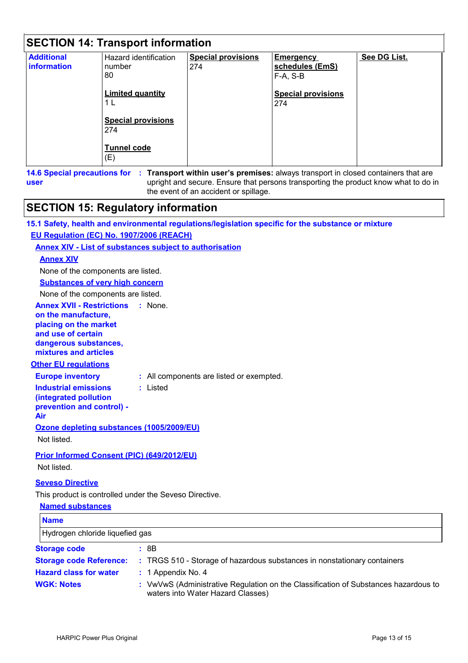| <b>SECTION 14: Transport information</b> |                                                                                                                                          |                                  |                                                                                     |              |
|------------------------------------------|------------------------------------------------------------------------------------------------------------------------------------------|----------------------------------|-------------------------------------------------------------------------------------|--------------|
| <b>Additional</b><br>information         | Hazard identification<br>number<br>80<br><b>Limited quantity</b><br>1 L<br><b>Special provisions</b><br>274<br><b>Tunnel code</b><br>(E) | <b>Special provisions</b><br>274 | <b>Emergency</b><br>schedules (EmS)<br>F-A, S-B<br><b>Special provisions</b><br>274 | See DG List. |

**14.6 Special precautions for : Transport within user's premises:** always transport in closed containers that are upright and secure. Ensure that persons transporting the product know what to do in the event of an accident or spillage. **user**

### **SECTION 15: Regulatory information**

| 15.1 Safety, health and environmental regulations/legislation specific for the substance or mixture |
|-----------------------------------------------------------------------------------------------------|
|-----------------------------------------------------------------------------------------------------|

#### **EU Regulation (EC) No. 1907/2006 (REACH)**

#### **Annex XIV - List of substances subject to authorisation**

#### **Annex XIV**

None of the components are listed.

**Substances of very high concern**

None of the components are listed.

**Annex XVII - Restrictions : None. on the manufacture, placing on the market** 

**and use of certain dangerous substances, mixtures and articles**

#### **Other EU regulations**

**Europe inventory :** All components are listed or exempted.

**Industrial emissions (integrated pollution** 

**:** Listed

**prevention and control) - Air**

**Ozone depleting substances (1005/2009/EU)**

Not listed.

#### **Prior Informed Consent (PIC) (649/2012/EU)**

Not listed.

#### **Seveso Directive**

This product is controlled under the Seveso Directive.

#### **Named substances**

| <b>Name</b>                     |                                                                                                                          |
|---------------------------------|--------------------------------------------------------------------------------------------------------------------------|
| Hydrogen chloride liquefied gas |                                                                                                                          |
| <b>Storage code</b>             | : 8B                                                                                                                     |
| <b>Storage code Reference:</b>  | : TRGS 510 - Storage of hazardous substances in nonstationary containers                                                 |
| <b>Hazard class for water</b>   | $: 1$ Appendix No. 4                                                                                                     |
| <b>WGK: Notes</b>               | : VwVwS (Administrative Regulation on the Classification of Substances hazardous to<br>waters into Water Hazard Classes) |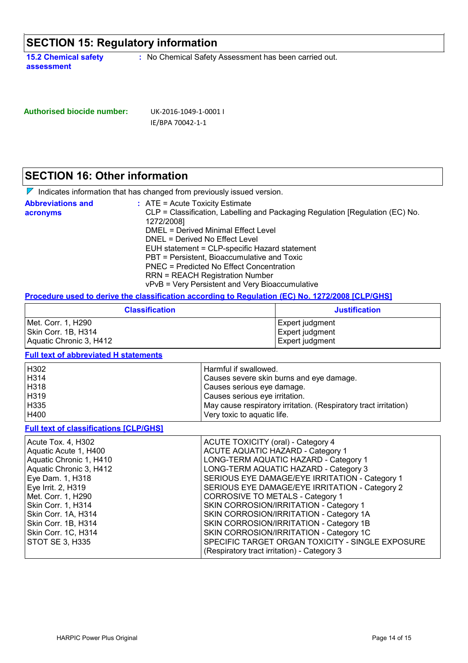## **SECTION 15: Regulatory information**

**15.2 Chemical safety assessment**

**:** No Chemical Safety Assessment has been carried out.

| Authorised biocide number: | UK-2016-1049-1-0001 I |
|----------------------------|-----------------------|
|                            | IE/BPA 70042-1-1      |

### **SECTION 16: Other information**

|                                      | $\nabla$ Indicates information that has changed from previously issued version.                                                                                                                                                                                                                                                                                                                                                                    |
|--------------------------------------|----------------------------------------------------------------------------------------------------------------------------------------------------------------------------------------------------------------------------------------------------------------------------------------------------------------------------------------------------------------------------------------------------------------------------------------------------|
| <b>Abbreviations and</b><br>acronyms | $:$ ATE = Acute Toxicity Estimate<br>CLP = Classification, Labelling and Packaging Regulation [Regulation (EC) No.<br>1272/2008]<br>DMEL = Derived Minimal Effect Level<br>DNEL = Derived No Effect Level<br>EUH statement = CLP-specific Hazard statement<br>PBT = Persistent, Bioaccumulative and Toxic<br>PNEC = Predicted No Effect Concentration<br><b>RRN = REACH Registration Number</b><br>vPvB = Very Persistent and Very Bioaccumulative |

#### **Procedure used to derive the classification according to Regulation (EC) No. 1272/2008 [CLP/GHS]**

| <b>Classification</b>                     | <b>Justification</b>               |  |
|-------------------------------------------|------------------------------------|--|
| Met. Corr. 1, H290<br>Skin Corr. 1B, H314 | Expert judgment<br>Expert judgment |  |
| Aquatic Chronic 3, H412                   | Expert judgment                    |  |

#### **Full text of abbreviated H statements**

| H302 | Harmful if swallowed.                                            |
|------|------------------------------------------------------------------|
| H314 | Causes severe skin burns and eye damage.                         |
| H318 | Causes serious eye damage.                                       |
| H319 | Causes serious eye irritation.                                   |
| H335 | May cause respiratory irritation. (Respiratory tract irritation) |
| H400 | Very toxic to aquatic life.                                      |

#### **Full text of classifications [CLP/GHS]**

| Acute Tox. 4, H302      | <b>ACUTE TOXICITY (oral) - Category 4</b>        |
|-------------------------|--------------------------------------------------|
| Aquatic Acute 1, H400   | ACUTE AQUATIC HAZARD - Category 1                |
| Aquatic Chronic 1, H410 | LONG-TERM AQUATIC HAZARD - Category 1            |
| Aquatic Chronic 3, H412 | LONG-TERM AQUATIC HAZARD - Category 3            |
| Eye Dam. 1, H318        | SERIOUS EYE DAMAGE/EYE IRRITATION - Category 1   |
| Eye Irrit. 2, H319      | SERIOUS EYE DAMAGE/EYE IRRITATION - Category 2   |
| Met. Corr. 1, H290      | <b>CORROSIVE TO METALS - Category 1</b>          |
| Skin Corr. 1, H314      | SKIN CORROSION/IRRITATION - Category 1           |
| Skin Corr. 1A, H314     | SKIN CORROSION/IRRITATION - Category 1A          |
| Skin Corr. 1B, H314     | SKIN CORROSION/IRRITATION - Category 1B          |
| Skin Corr. 1C, H314     | SKIN CORROSION/IRRITATION - Category 1C          |
| STOT SE 3, H335         | SPECIFIC TARGET ORGAN TOXICITY - SINGLE EXPOSURE |
|                         | (Respiratory tract irritation) - Category 3      |